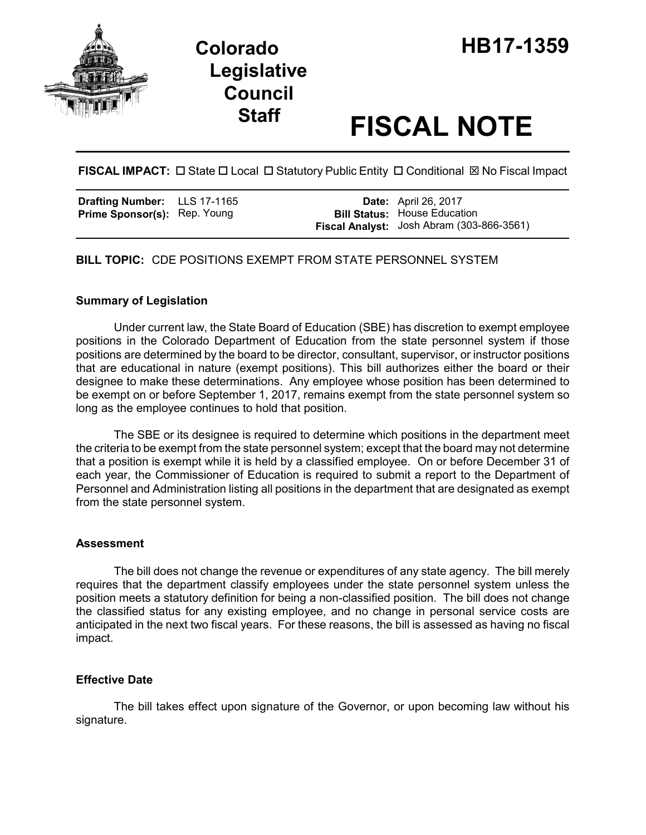

# **Legislative Council**

# **Staff FISCAL NOTE**

# FISCAL IMPACT:  $\Box$  State  $\Box$  Local  $\Box$  Statutory Public Entity  $\Box$  Conditional  $\boxtimes$  No Fiscal Impact

| <b>Drafting Number:</b>             | LLS 17-1165 |
|-------------------------------------|-------------|
| <b>Prime Sponsor(s): Rep. Young</b> |             |

**Date:** April 26, 2017 **Bill Status:** House Education **Fiscal Analyst:** Josh Abram (303-866-3561)

## **BILL TOPIC:** CDE POSITIONS EXEMPT FROM STATE PERSONNEL SYSTEM

#### **Summary of Legislation**

Under current law, the State Board of Education (SBE) has discretion to exempt employee positions in the Colorado Department of Education from the state personnel system if those positions are determined by the board to be director, consultant, supervisor, or instructor positions that are educational in nature (exempt positions). This bill authorizes either the board or their designee to make these determinations. Any employee whose position has been determined to be exempt on or before September 1, 2017, remains exempt from the state personnel system so long as the employee continues to hold that position.

The SBE or its designee is required to determine which positions in the department meet the criteria to be exempt from the state personnel system; except that the board may not determine that a position is exempt while it is held by a classified employee. On or before December 31 of each year, the Commissioner of Education is required to submit a report to the Department of Personnel and Administration listing all positions in the department that are designated as exempt from the state personnel system.

#### **Assessment**

The bill does not change the revenue or expenditures of any state agency. The bill merely requires that the department classify employees under the state personnel system unless the position meets a statutory definition for being a non-classified position. The bill does not change the classified status for any existing employee, and no change in personal service costs are anticipated in the next two fiscal years. For these reasons, the bill is assessed as having no fiscal impact.

#### **Effective Date**

The bill takes effect upon signature of the Governor, or upon becoming law without his signature.